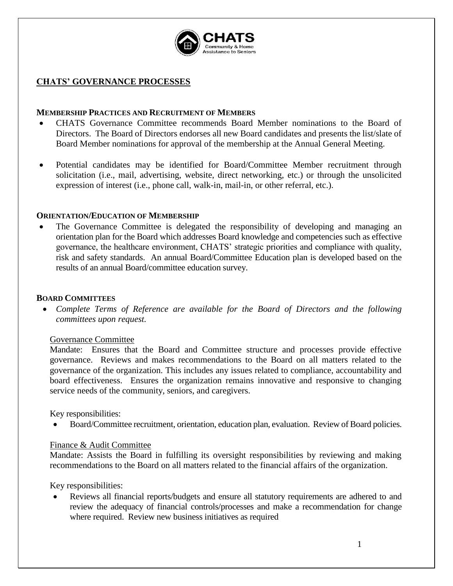

## **CHATS' GOVERNANCE PROCESSES**

### **MEMBERSHIP PRACTICES AND RECRUITMENT OF MEMBERS**

- CHATS Governance Committee recommends Board Member nominations to the Board of Directors. The Board of Directors endorses all new Board candidates and presents the list/slate of Board Member nominations for approval of the membership at the Annual General Meeting.
- Potential candidates may be identified for Board/Committee Member recruitment through solicitation (i.e., mail, advertising, website, direct networking, etc.) or through the unsolicited expression of interest (i.e., phone call, walk-in, mail-in, or other referral, etc.).

## **ORIENTATION/EDUCATION OF MEMBERSHIP**

The Governance Committee is delegated the responsibility of developing and managing an orientation plan for the Board which addresses Board knowledge and competencies such as effective governance, the healthcare environment, CHATS' strategic priorities and compliance with quality, risk and safety standards. An annual Board/Committee Education plan is developed based on the results of an annual Board/committee education survey.

## **BOARD COMMITTEES**

• *Complete Terms of Reference are available for the Board of Directors and the following committees upon request.*

#### Governance Committee

Mandate: Ensures that the Board and Committee structure and processes provide effective governance. Reviews and makes recommendations to the Board on all matters related to the governance of the organization. This includes any issues related to compliance, accountability and board effectiveness. Ensures the organization remains innovative and responsive to changing service needs of the community, seniors, and caregivers.

Key responsibilities:

• Board/Committee recruitment, orientation, education plan, evaluation. Review of Board policies.

#### Finance & Audit Committee

Mandate: Assists the Board in fulfilling its oversight responsibilities by reviewing and making recommendations to the Board on all matters related to the financial affairs of the organization.

Key responsibilities:

• Reviews all financial reports/budgets and ensure all statutory requirements are adhered to and review the adequacy of financial controls/processes and make a recommendation for change where required. Review new business initiatives as required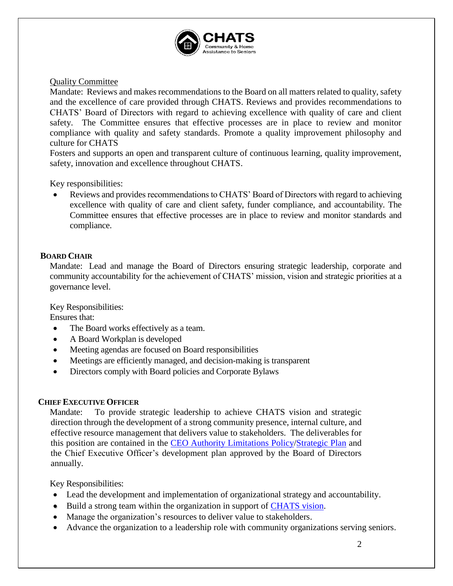

# Quality Committee

Mandate: Reviews and makes recommendations to the Board on all matters related to quality, safety and the excellence of care provided through CHATS. Reviews and provides recommendations to CHATS' Board of Directors with regard to achieving excellence with quality of care and client safety. The Committee ensures that effective processes are in place to review and monitor compliance with quality and safety standards. Promote a quality improvement philosophy and culture for CHATS

Fosters and supports an open and transparent culture of continuous learning, quality improvement, safety, innovation and excellence throughout CHATS.

Key responsibilities:

Reviews and provides recommendations to CHATS' Board of Directors with regard to achieving excellence with quality of care and client safety, funder compliance, and accountability. The Committee ensures that effective processes are in place to review and monitor standards and compliance.

# **BOARD CHAIR**

Mandate: Lead and manage the Board of Directors ensuring strategic leadership, corporate and community accountability for the achievement of CHATS' mission, vision and strategic priorities at a governance level.

Key Responsibilities:

Ensures that:

- The Board works effectively as a team.
- A Board Workplan is developed
- Meeting agendas are focused on Board responsibilities
- Meetings are efficiently managed, and decision-making is transparent
- Directors comply with Board policies and Corporate Bylaws

## **CHIEF EXECUTIVE OFFICER**

Mandate: To provide strategic leadership to achieve CHATS vision and strategic direction through the development of a strong community presence, internal culture, and effective resource management that delivers value to stakeholders. The deliverables for this position are contained in the [CEO Authority Limitations Policy/](../../../Common/Policies%20and%20Procedures/1%20-%20GOVERNANCE/Chief%20Executive%20Officer)[Strategic Plan](file://///hades/company/Management%20Team/Strategic%20Planning/Strategic%20Plan%202017-2020/Printed%20final%20CHATS-STRATEGY-2017-2020.pdf) and the Chief Executive Officer's development plan approved by the Board of Directors annually.

Key Responsibilities:

- Lead the development and implementation of organizational strategy and accountability.
- Build a strong team within the organization in support of [CHATS vision.](file://///hades/company/Common/Corporate%20Information/CHATS-MISSION-PLAQUE-17-03.pdf)
- Manage the organization's resources to deliver value to stakeholders.
- Advance the organization to a leadership role with community organizations serving seniors.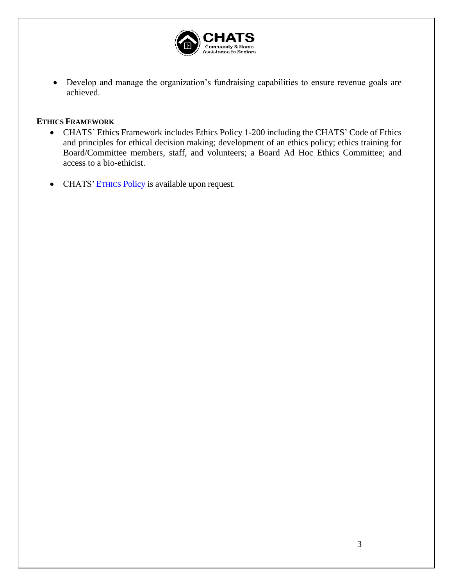

• Develop and manage the organization's fundraising capabilities to ensure revenue goals are achieved.

## **ETHICS FRAMEWORK**

- CHATS' Ethics Framework includes Ethics Policy 1-200 including the CHATS' Code of Ethics and principles for ethical decision making; development of an ethics policy; ethics training for Board/Committee members, staff, and volunteers; a Board Ad Hoc Ethics Committee; and access to a bio-ethicist.
- CHATS' ETHICS [Policy](../../../Common/Policies%20and%20Procedures/1%20-%20GOVERNANCE/Ethics%20Policy.docx) is available upon request.